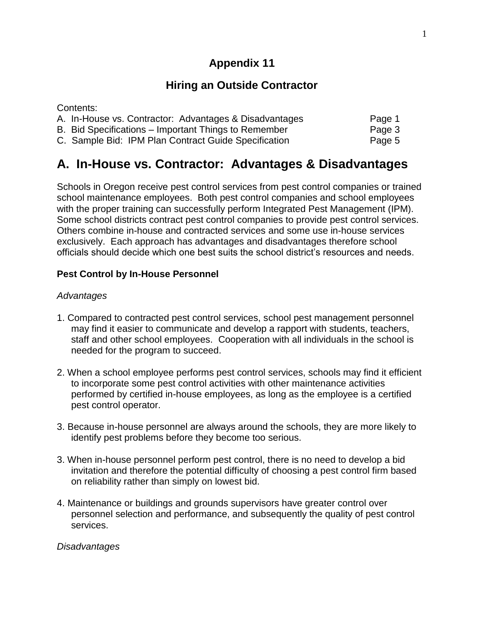# **Appendix 11**

# **Hiring an Outside Contractor**

Contents:

| A. In-House vs. Contractor: Advantages & Disadvantages | Page 1 |
|--------------------------------------------------------|--------|
| B. Bid Specifications – Important Things to Remember   | Page 3 |
| C. Sample Bid: IPM Plan Contract Guide Specification   | Page 5 |

# **A. In-House vs. Contractor: Advantages & Disadvantages**

Schools in Oregon receive pest control services from pest control companies or trained school maintenance employees. Both pest control companies and school employees with the proper training can successfully perform Integrated Pest Management (IPM). Some school districts contract pest control companies to provide pest control services. Others combine in-house and contracted services and some use in-house services exclusively. Each approach has advantages and disadvantages therefore school officials should decide which one best suits the school district's resources and needs.

## **Pest Control by In-House Personnel**

#### *Advantages*

- 1. Compared to contracted pest control services, school pest management personnel may find it easier to communicate and develop a rapport with students, teachers, staff and other school employees. Cooperation with all individuals in the school is needed for the program to succeed.
- 2. When a school employee performs pest control services, schools may find it efficient to incorporate some pest control activities with other maintenance activities performed by certified in-house employees, as long as the employee is a certified pest control operator.
- 3. Because in-house personnel are always around the schools, they are more likely to identify pest problems before they become too serious.
- 3. When in-house personnel perform pest control, there is no need to develop a bid invitation and therefore the potential difficulty of choosing a pest control firm based on reliability rather than simply on lowest bid.
- 4. Maintenance or buildings and grounds supervisors have greater control over personnel selection and performance, and subsequently the quality of pest control services.

*Disadvantages*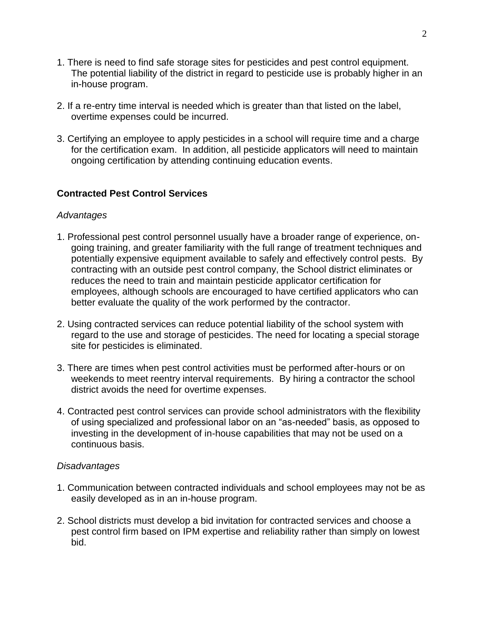- 1. There is need to find safe storage sites for pesticides and pest control equipment. The potential liability of the district in regard to pesticide use is probably higher in an in-house program.
- 2. If a re-entry time interval is needed which is greater than that listed on the label, overtime expenses could be incurred.
- 3. Certifying an employee to apply pesticides in a school will require time and a charge for the certification exam. In addition, all pesticide applicators will need to maintain ongoing certification by attending continuing education events.

## **Contracted Pest Control Services**

#### *Advantages*

- 1. Professional pest control personnel usually have a broader range of experience, ongoing training, and greater familiarity with the full range of treatment techniques and potentially expensive equipment available to safely and effectively control pests. By contracting with an outside pest control company, the School district eliminates or reduces the need to train and maintain pesticide applicator certification for employees, although schools are encouraged to have certified applicators who can better evaluate the quality of the work performed by the contractor.
- 2. Using contracted services can reduce potential liability of the school system with regard to the use and storage of pesticides. The need for locating a special storage site for pesticides is eliminated.
- 3. There are times when pest control activities must be performed after-hours or on weekends to meet reentry interval requirements. By hiring a contractor the school district avoids the need for overtime expenses.
- 4. Contracted pest control services can provide school administrators with the flexibility of using specialized and professional labor on an "as-needed" basis, as opposed to investing in the development of in-house capabilities that may not be used on a continuous basis.

#### *Disadvantages*

- 1. Communication between contracted individuals and school employees may not be as easily developed as in an in-house program.
- 2. School districts must develop a bid invitation for contracted services and choose a pest control firm based on IPM expertise and reliability rather than simply on lowest bid.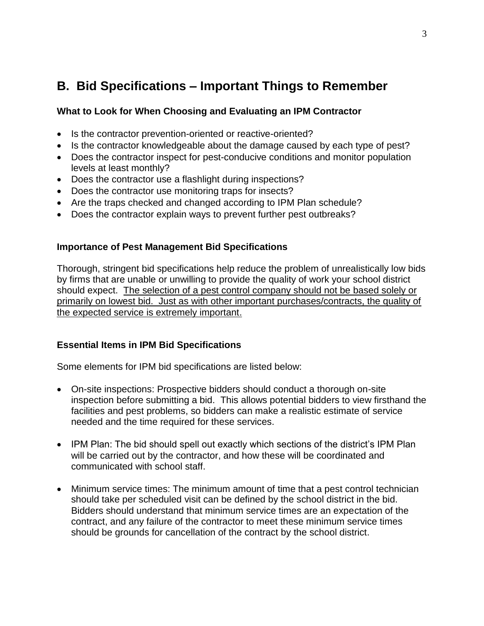# **B. Bid Specifications – Important Things to Remember**

## **What to Look for When Choosing and Evaluating an IPM Contractor**

- Is the contractor prevention-oriented or reactive-oriented?
- Is the contractor knowledgeable about the damage caused by each type of pest?
- Does the contractor inspect for pest-conducive conditions and monitor population levels at least monthly?
- Does the contractor use a flashlight during inspections?
- Does the contractor use monitoring traps for insects?
- Are the traps checked and changed according to IPM Plan schedule?
- Does the contractor explain ways to prevent further pest outbreaks?

## **Importance of Pest Management Bid Specifications**

Thorough, stringent bid specifications help reduce the problem of unrealistically low bids by firms that are unable or unwilling to provide the quality of work your school district should expect. The selection of a pest control company should not be based solely or primarily on lowest bid. Just as with other important purchases/contracts, the quality of the expected service is extremely important.

## **Essential Items in IPM Bid Specifications**

Some elements for IPM bid specifications are listed below:

- On-site inspections: Prospective bidders should conduct a thorough on-site inspection before submitting a bid. This allows potential bidders to view firsthand the facilities and pest problems, so bidders can make a realistic estimate of service needed and the time required for these services.
- IPM Plan: The bid should spell out exactly which sections of the district's IPM Plan will be carried out by the contractor, and how these will be coordinated and communicated with school staff.
- Minimum service times: The minimum amount of time that a pest control technician should take per scheduled visit can be defined by the school district in the bid. Bidders should understand that minimum service times are an expectation of the contract, and any failure of the contractor to meet these minimum service times should be grounds for cancellation of the contract by the school district.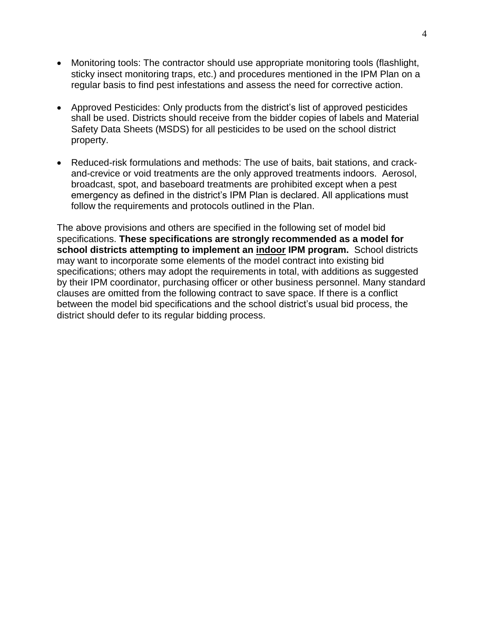- Monitoring tools: The contractor should use appropriate monitoring tools (flashlight, sticky insect monitoring traps, etc.) and procedures mentioned in the IPM Plan on a regular basis to find pest infestations and assess the need for corrective action.
- Approved Pesticides: Only products from the district's list of approved pesticides shall be used. Districts should receive from the bidder copies of labels and Material Safety Data Sheets (MSDS) for all pesticides to be used on the school district property.
- Reduced-risk formulations and methods: The use of baits, bait stations, and crackand-crevice or void treatments are the only approved treatments indoors. Aerosol, broadcast, spot, and baseboard treatments are prohibited except when a pest emergency as defined in the district's IPM Plan is declared. All applications must follow the requirements and protocols outlined in the Plan.

The above provisions and others are specified in the following set of model bid specifications. **These specifications are strongly recommended as a model for school districts attempting to implement an indoor IPM program.** School districts may want to incorporate some elements of the model contract into existing bid specifications; others may adopt the requirements in total, with additions as suggested by their IPM coordinator, purchasing officer or other business personnel. Many standard clauses are omitted from the following contract to save space. If there is a conflict between the model bid specifications and the school district's usual bid process, the district should defer to its regular bidding process.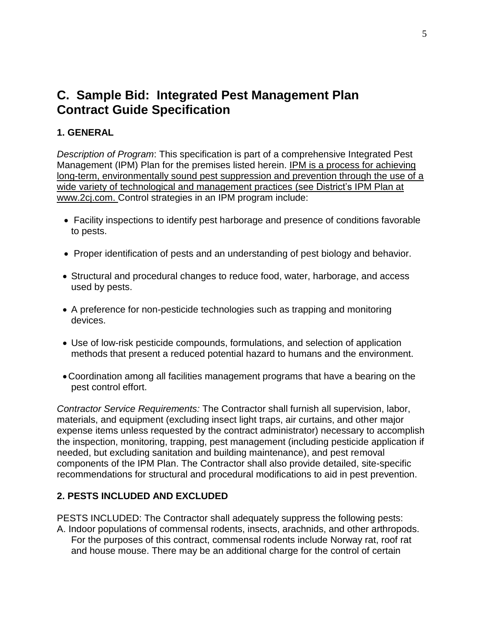# **C. Sample Bid: Integrated Pest Management Plan Contract Guide Specification**

# **1. GENERAL**

*Description of Program*: This specification is part of a comprehensive Integrated Pest Management (IPM) Plan for the premises listed herein. IPM is a process for achieving long-term, environmentally sound pest suppression and prevention through the use of a wide variety of technological and management practices (see District's IPM Plan at www.2cj.com. Control strategies in an IPM program include:

- Facility inspections to identify pest harborage and presence of conditions favorable to pests.
- Proper identification of pests and an understanding of pest biology and behavior.
- Structural and procedural changes to reduce food, water, harborage, and access used by pests.
- A preference for non-pesticide technologies such as trapping and monitoring devices.
- Use of low-risk pesticide compounds, formulations, and selection of application methods that present a reduced potential hazard to humans and the environment.
- Coordination among all facilities management programs that have a bearing on the pest control effort.

*Contractor Service Requirements:* The Contractor shall furnish all supervision, labor, materials, and equipment (excluding insect light traps, air curtains, and other major expense items unless requested by the contract administrator) necessary to accomplish the inspection, monitoring, trapping, pest management (including pesticide application if needed, but excluding sanitation and building maintenance), and pest removal components of the IPM Plan. The Contractor shall also provide detailed, site-specific recommendations for structural and procedural modifications to aid in pest prevention.

## **2. PESTS INCLUDED AND EXCLUDED**

PESTS INCLUDED: The Contractor shall adequately suppress the following pests: A. Indoor populations of commensal rodents, insects, arachnids, and other arthropods. For the purposes of this contract, commensal rodents include Norway rat, roof rat and house mouse. There may be an additional charge for the control of certain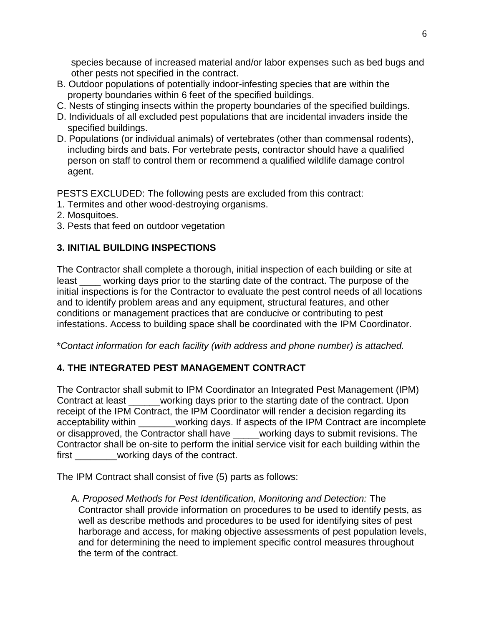species because of increased material and/or labor expenses such as bed bugs and other pests not specified in the contract.

- B. Outdoor populations of potentially indoor-infesting species that are within the property boundaries within 6 feet of the specified buildings.
- C. Nests of stinging insects within the property boundaries of the specified buildings.
- D. Individuals of all excluded pest populations that are incidental invaders inside the specified buildings.
- D. Populations (or individual animals) of vertebrates (other than commensal rodents), including birds and bats. For vertebrate pests, contractor should have a qualified person on staff to control them or recommend a qualified wildlife damage control agent.

PESTS EXCLUDED: The following pests are excluded from this contract:

- 1. Termites and other wood-destroying organisms.
- 2. Mosquitoes.
- 3. Pests that feed on outdoor vegetation

# **3. INITIAL BUILDING INSPECTIONS**

The Contractor shall complete a thorough, initial inspection of each building or site at least working days prior to the starting date of the contract. The purpose of the initial inspections is for the Contractor to evaluate the pest control needs of all locations and to identify problem areas and any equipment, structural features, and other conditions or management practices that are conducive or contributing to pest infestations. Access to building space shall be coordinated with the IPM Coordinator.

\**Contact information for each facility (with address and phone number) is attached.*

# **4. THE INTEGRATED PEST MANAGEMENT CONTRACT**

The Contractor shall submit to IPM Coordinator an Integrated Pest Management (IPM) Contract at least \_\_\_\_\_\_working days prior to the starting date of the contract. Upon receipt of the IPM Contract, the IPM Coordinator will render a decision regarding its acceptability within **Exercise 20** working days. If aspects of the IPM Contract are incomplete or disapproved, the Contractor shall have working days to submit revisions. The Contractor shall be on-site to perform the initial service visit for each building within the first working days of the contract.

The IPM Contract shall consist of five (5) parts as follows:

A*. Proposed Methods for Pest Identification, Monitoring and Detection:* The Contractor shall provide information on procedures to be used to identify pests, as well as describe methods and procedures to be used for identifying sites of pest harborage and access, for making objective assessments of pest population levels, and for determining the need to implement specific control measures throughout the term of the contract.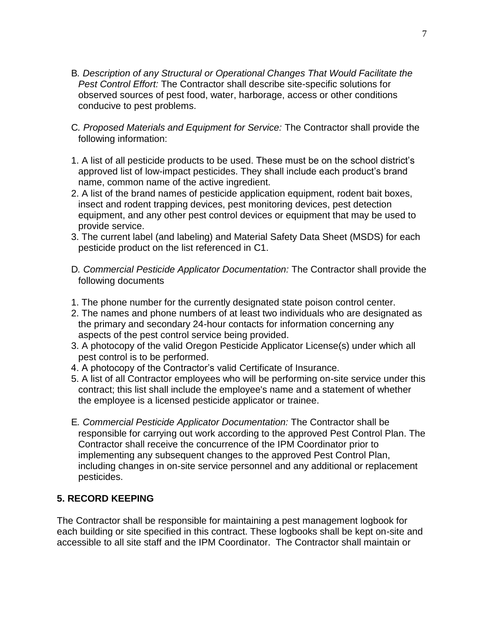- B*. Description of any Structural or Operational Changes That Would Facilitate the Pest Control Effort:* The Contractor shall describe site-specific solutions for observed sources of pest food, water, harborage, access or other conditions conducive to pest problems.
- C*. Proposed Materials and Equipment for Service:* The Contractor shall provide the following information:
- 1. A list of all pesticide products to be used. These must be on the school district's approved list of low-impact pesticides. They shall include each product's brand name, common name of the active ingredient.
- 2. A list of the brand names of pesticide application equipment, rodent bait boxes, insect and rodent trapping devices, pest monitoring devices, pest detection equipment, and any other pest control devices or equipment that may be used to provide service.
- 3. The current label (and labeling) and Material Safety Data Sheet (MSDS) for each pesticide product on the list referenced in C1.
- D*. Commercial Pesticide Applicator Documentation:* The Contractor shall provide the following documents
- 1. The phone number for the currently designated state poison control center.
- 2. The names and phone numbers of at least two individuals who are designated as the primary and secondary 24-hour contacts for information concerning any aspects of the pest control service being provided.
- 3. A photocopy of the valid Oregon Pesticide Applicator License(s) under which all pest control is to be performed.
- 4. A photocopy of the Contractor's valid Certificate of Insurance.
- 5. A list of all Contractor employees who will be performing on-site service under this contract; this list shall include the employee's name and a statement of whether the employee is a licensed pesticide applicator or trainee.
- E*. Commercial Pesticide Applicator Documentation:* The Contractor shall be responsible for carrying out work according to the approved Pest Control Plan. The Contractor shall receive the concurrence of the IPM Coordinator prior to implementing any subsequent changes to the approved Pest Control Plan, including changes in on-site service personnel and any additional or replacement pesticides.

## **5. RECORD KEEPING**

The Contractor shall be responsible for maintaining a pest management logbook for each building or site specified in this contract. These logbooks shall be kept on-site and accessible to all site staff and the IPM Coordinator. The Contractor shall maintain or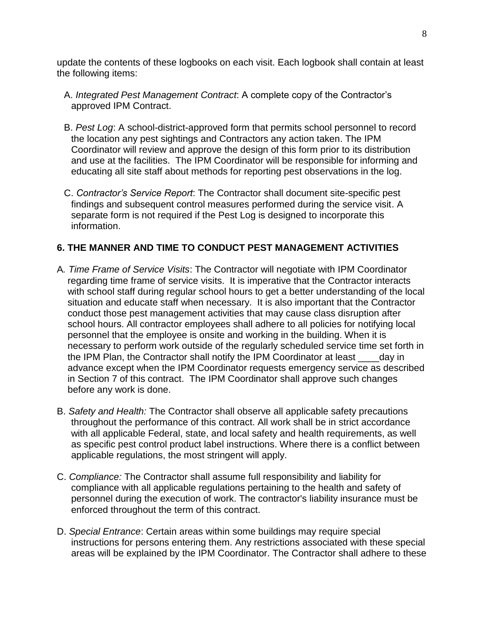update the contents of these logbooks on each visit. Each logbook shall contain at least the following items:

- A. *Integrated Pest Management Contract*: A complete copy of the Contractor's approved IPM Contract.
- B. *Pest Log*: A school-district-approved form that permits school personnel to record the location any pest sightings and Contractors any action taken. The IPM Coordinator will review and approve the design of this form prior to its distribution and use at the facilities. The IPM Coordinator will be responsible for informing and educating all site staff about methods for reporting pest observations in the log.
- C. *Contractor's Service Report*: The Contractor shall document site-specific pest findings and subsequent control measures performed during the service visit. A separate form is not required if the Pest Log is designed to incorporate this information.

## **6. THE MANNER AND TIME TO CONDUCT PEST MANAGEMENT ACTIVITIES**

- A*. Time Frame of Service Visits*: The Contractor will negotiate with IPM Coordinator regarding time frame of service visits. It is imperative that the Contractor interacts with school staff during regular school hours to get a better understanding of the local situation and educate staff when necessary. It is also important that the Contractor conduct those pest management activities that may cause class disruption after school hours. All contractor employees shall adhere to all policies for notifying local personnel that the employee is onsite and working in the building. When it is necessary to perform work outside of the regularly scheduled service time set forth in the IPM Plan, the Contractor shall notify the IPM Coordinator at least \_\_\_\_day in advance except when the IPM Coordinator requests emergency service as described in Section 7 of this contract. The IPM Coordinator shall approve such changes before any work is done.
- B. *Safety and Health:* The Contractor shall observe all applicable safety precautions throughout the performance of this contract. All work shall be in strict accordance with all applicable Federal, state, and local safety and health requirements, as well as specific pest control product label instructions. Where there is a conflict between applicable regulations, the most stringent will apply.
- C. *Compliance:* The Contractor shall assume full responsibility and liability for compliance with all applicable regulations pertaining to the health and safety of personnel during the execution of work. The contractor's liability insurance must be enforced throughout the term of this contract.
- D. *Special Entrance*: Certain areas within some buildings may require special instructions for persons entering them. Any restrictions associated with these special areas will be explained by the IPM Coordinator. The Contractor shall adhere to these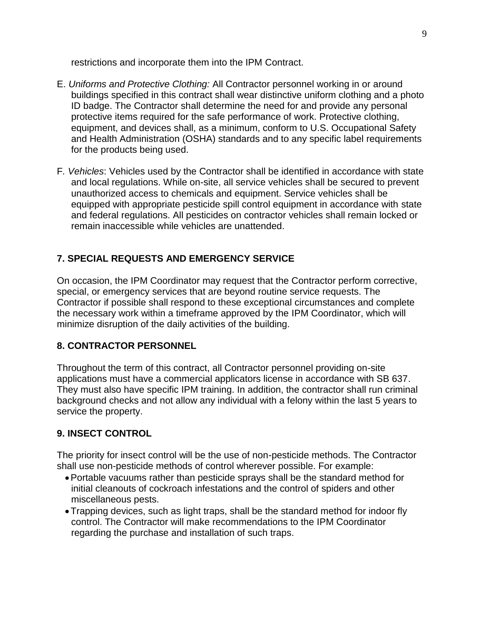restrictions and incorporate them into the IPM Contract.

- E. *Uniforms and Protective Clothing:* All Contractor personnel working in or around buildings specified in this contract shall wear distinctive uniform clothing and a photo ID badge. The Contractor shall determine the need for and provide any personal protective items required for the safe performance of work. Protective clothing, equipment, and devices shall, as a minimum, conform to U.S. Occupational Safety and Health Administration (OSHA) standards and to any specific label requirements for the products being used.
- F*. Vehicles*: Vehicles used by the Contractor shall be identified in accordance with state and local regulations. While on-site, all service vehicles shall be secured to prevent unauthorized access to chemicals and equipment. Service vehicles shall be equipped with appropriate pesticide spill control equipment in accordance with state and federal regulations. All pesticides on contractor vehicles shall remain locked or remain inaccessible while vehicles are unattended.

# **7. SPECIAL REQUESTS AND EMERGENCY SERVICE**

On occasion, the IPM Coordinator may request that the Contractor perform corrective, special, or emergency services that are beyond routine service requests. The Contractor if possible shall respond to these exceptional circumstances and complete the necessary work within a timeframe approved by the IPM Coordinator, which will minimize disruption of the daily activities of the building.

## **8. CONTRACTOR PERSONNEL**

Throughout the term of this contract, all Contractor personnel providing on-site applications must have a commercial applicators license in accordance with SB 637. They must also have specific IPM training. In addition, the contractor shall run criminal background checks and not allow any individual with a felony within the last 5 years to service the property.

## **9. INSECT CONTROL**

The priority for insect control will be the use of non-pesticide methods. The Contractor shall use non-pesticide methods of control wherever possible. For example:

- Portable vacuums rather than pesticide sprays shall be the standard method for initial cleanouts of cockroach infestations and the control of spiders and other miscellaneous pests.
- Trapping devices, such as light traps, shall be the standard method for indoor fly control. The Contractor will make recommendations to the IPM Coordinator regarding the purchase and installation of such traps.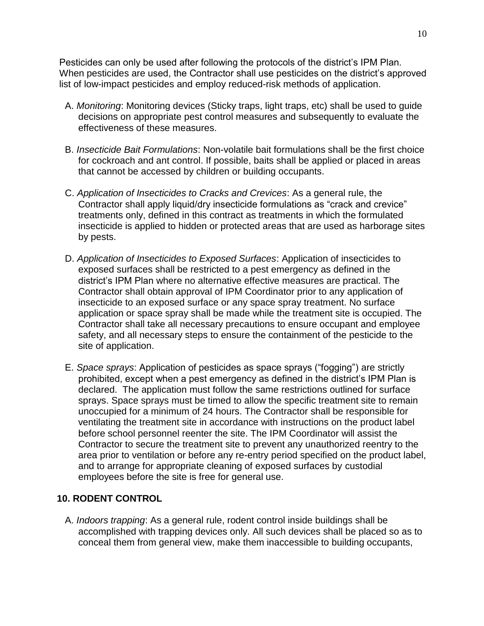Pesticides can only be used after following the protocols of the district's IPM Plan. When pesticides are used, the Contractor shall use pesticides on the district's approved list of low-impact pesticides and employ reduced-risk methods of application.

- A. *Monitoring*: Monitoring devices (Sticky traps, light traps, etc) shall be used to guide decisions on appropriate pest control measures and subsequently to evaluate the effectiveness of these measures.
- B. *Insecticide Bait Formulations*: Non-volatile bait formulations shall be the first choice for cockroach and ant control. If possible, baits shall be applied or placed in areas that cannot be accessed by children or building occupants.
- C. *Application of Insecticides to Cracks and Crevices*: As a general rule, the Contractor shall apply liquid/dry insecticide formulations as "crack and crevice" treatments only, defined in this contract as treatments in which the formulated insecticide is applied to hidden or protected areas that are used as harborage sites by pests.
- D. *Application of Insecticides to Exposed Surfaces*: Application of insecticides to exposed surfaces shall be restricted to a pest emergency as defined in the district's IPM Plan where no alternative effective measures are practical. The Contractor shall obtain approval of IPM Coordinator prior to any application of insecticide to an exposed surface or any space spray treatment. No surface application or space spray shall be made while the treatment site is occupied. The Contractor shall take all necessary precautions to ensure occupant and employee safety, and all necessary steps to ensure the containment of the pesticide to the site of application.
- E. *Space sprays*: Application of pesticides as space sprays ("fogging") are strictly prohibited, except when a pest emergency as defined in the district's IPM Plan is declared. The application must follow the same restrictions outlined for surface sprays. Space sprays must be timed to allow the specific treatment site to remain unoccupied for a minimum of 24 hours. The Contractor shall be responsible for ventilating the treatment site in accordance with instructions on the product label before school personnel reenter the site. The IPM Coordinator will assist the Contractor to secure the treatment site to prevent any unauthorized reentry to the area prior to ventilation or before any re-entry period specified on the product label, and to arrange for appropriate cleaning of exposed surfaces by custodial employees before the site is free for general use.

## **10. RODENT CONTROL**

A. *Indoors trapping*: As a general rule, rodent control inside buildings shall be accomplished with trapping devices only. All such devices shall be placed so as to conceal them from general view, make them inaccessible to building occupants,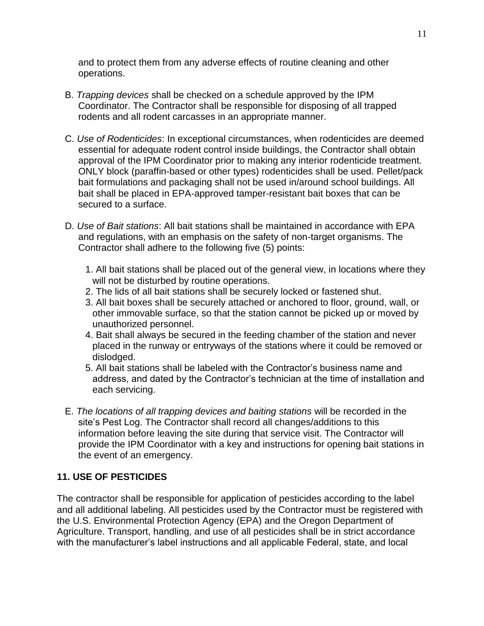and to protect them from any adverse effects of routine cleaning and other operations.

- B. *Trapping devices* shall be checked on a schedule approved by the IPM Coordinator. The Contractor shall be responsible for disposing of all trapped rodents and all rodent carcasses in an appropriate manner.
- C. *Use of Rodenticides*: In exceptional circumstances, when rodenticides are deemed essential for adequate rodent control inside buildings, the Contractor shall obtain approval of the IPM Coordinator prior to making any interior rodenticide treatment. ONLY block (paraffin-based or other types) rodenticides shall be used. Pellet/pack bait formulations and packaging shall not be used in/around school buildings. All bait shall be placed in EPA-approved tamper-resistant bait boxes that can be secured to a surface.
- D. *Use of Bait stations*: All bait stations shall be maintained in accordance with EPA and regulations, with an emphasis on the safety of non-target organisms. The Contractor shall adhere to the following five (5) points:
	- 1. All bait stations shall be placed out of the general view, in locations where they will not be disturbed by routine operations.
	- 2. The lids of all bait stations shall be securely locked or fastened shut.
	- 3. All bait boxes shall be securely attached or anchored to floor, ground, wall, or other immovable surface, so that the station cannot be picked up or moved by unauthorized personnel.
	- 4. Bait shall always be secured in the feeding chamber of the station and never placed in the runway or entryways of the stations where it could be removed or dislodged.
	- 5. All bait stations shall be labeled with the Contractor's business name and address, and dated by the Contractor's technician at the time of installation and each servicing.
- E. *The locations of all trapping devices and baiting stations* will be recorded in the site's Pest Log. The Contractor shall record all changes/additions to this information before leaving the site during that service visit. The Contractor will provide the IPM Coordinator with a key and instructions for opening bait stations in the event of an emergency.

## **11. USE OF PESTICIDES**

The contractor shall be responsible for application of pesticides according to the label and all additional labeling. All pesticides used by the Contractor must be registered with the U.S. Environmental Protection Agency (EPA) and the Oregon Department of Agriculture. Transport, handling, and use of all pesticides shall be in strict accordance with the manufacturer's label instructions and all applicable Federal, state, and local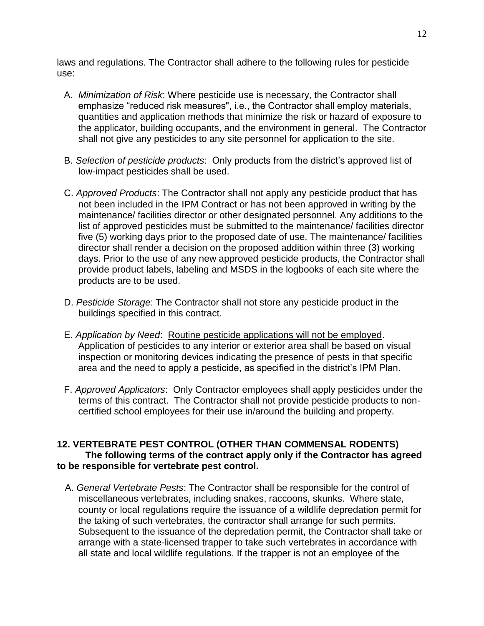laws and regulations. The Contractor shall adhere to the following rules for pesticide use:

- A. *Minimization of Risk*: Where pesticide use is necessary, the Contractor shall emphasize "reduced risk measures", i.e., the Contractor shall employ materials, quantities and application methods that minimize the risk or hazard of exposure to the applicator, building occupants, and the environment in general. The Contractor shall not give any pesticides to any site personnel for application to the site.
- B. *Selection of pesticide products*: Only products from the district's approved list of low-impact pesticides shall be used.
- C. *Approved Products*: The Contractor shall not apply any pesticide product that has not been included in the IPM Contract or has not been approved in writing by the maintenance/ facilities director or other designated personnel. Any additions to the list of approved pesticides must be submitted to the maintenance/ facilities director five (5) working days prior to the proposed date of use. The maintenance/ facilities director shall render a decision on the proposed addition within three (3) working days. Prior to the use of any new approved pesticide products, the Contractor shall provide product labels, labeling and MSDS in the logbooks of each site where the products are to be used.
- D. *Pesticide Storage*: The Contractor shall not store any pesticide product in the buildings specified in this contract.
- E. *Application by Need*: Routine pesticide applications will not be employed. Application of pesticides to any interior or exterior area shall be based on visual inspection or monitoring devices indicating the presence of pests in that specific area and the need to apply a pesticide, as specified in the district's IPM Plan.
- F. *Approved Applicators*: Only Contractor employees shall apply pesticides under the terms of this contract. The Contractor shall not provide pesticide products to noncertified school employees for their use in/around the building and property.

## **12. VERTEBRATE PEST CONTROL (OTHER THAN COMMENSAL RODENTS) The following terms of the contract apply only if the Contractor has agreed to be responsible for vertebrate pest control.**

A. *General Vertebrate Pests*: The Contractor shall be responsible for the control of miscellaneous vertebrates, including snakes, raccoons, skunks. Where state, county or local regulations require the issuance of a wildlife depredation permit for the taking of such vertebrates, the contractor shall arrange for such permits. Subsequent to the issuance of the depredation permit, the Contractor shall take or arrange with a state-licensed trapper to take such vertebrates in accordance with all state and local wildlife regulations. If the trapper is not an employee of the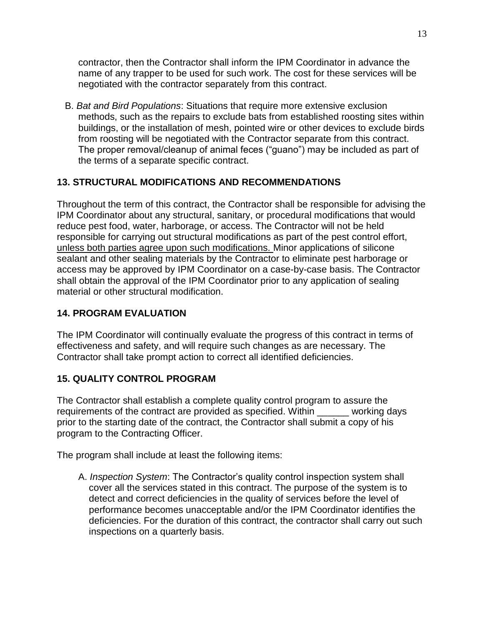contractor, then the Contractor shall inform the IPM Coordinator in advance the name of any trapper to be used for such work. The cost for these services will be negotiated with the contractor separately from this contract.

B. *Bat and Bird Populations*: Situations that require more extensive exclusion methods, such as the repairs to exclude bats from established roosting sites within buildings, or the installation of mesh, pointed wire or other devices to exclude birds from roosting will be negotiated with the Contractor separate from this contract. The proper removal/cleanup of animal feces ("guano") may be included as part of the terms of a separate specific contract.

# **13. STRUCTURAL MODIFICATIONS AND RECOMMENDATIONS**

Throughout the term of this contract, the Contractor shall be responsible for advising the IPM Coordinator about any structural, sanitary, or procedural modifications that would reduce pest food, water, harborage, or access. The Contractor will not be held responsible for carrying out structural modifications as part of the pest control effort, unless both parties agree upon such modifications. Minor applications of silicone sealant and other sealing materials by the Contractor to eliminate pest harborage or access may be approved by IPM Coordinator on a case-by-case basis. The Contractor shall obtain the approval of the IPM Coordinator prior to any application of sealing material or other structural modification.

# **14. PROGRAM EVALUATION**

The IPM Coordinator will continually evaluate the progress of this contract in terms of effectiveness and safety, and will require such changes as are necessary. The Contractor shall take prompt action to correct all identified deficiencies.

## **15. QUALITY CONTROL PROGRAM**

The Contractor shall establish a complete quality control program to assure the requirements of the contract are provided as specified. Within \_\_\_\_\_\_ working days prior to the starting date of the contract, the Contractor shall submit a copy of his program to the Contracting Officer.

The program shall include at least the following items:

A. *Inspection System*: The Contractor's quality control inspection system shall cover all the services stated in this contract. The purpose of the system is to detect and correct deficiencies in the quality of services before the level of performance becomes unacceptable and/or the IPM Coordinator identifies the deficiencies. For the duration of this contract, the contractor shall carry out such inspections on a quarterly basis.